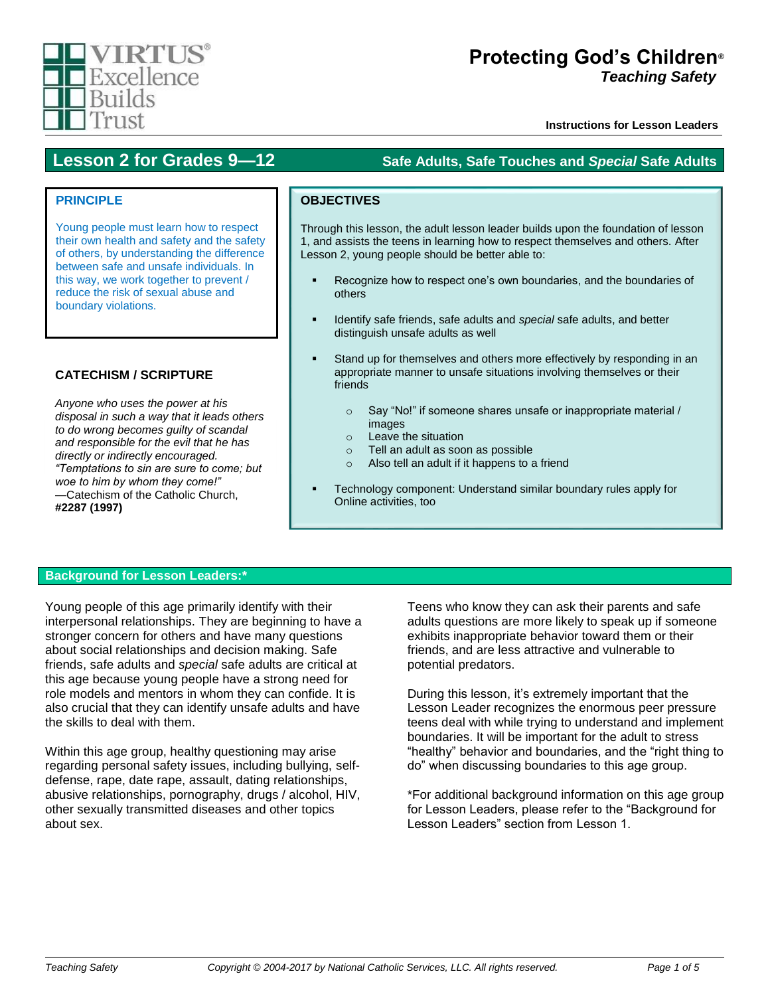# VIRTIS Excellence **Builds** Trust

# **Protecting God's Children***®* **Teaching Safety**

**Instructions for Lesson Leaders®**

# **Lesson 2 for Grades 9—12 Safe Adults, Safe Touches and** *Special* **Safe Adults**

# **PRINCIPLE**

Young people must learn how to respect their own health and safety and the safety of others, by understanding the difference between safe and unsafe individuals. In this way, we work together to prevent / reduce the risk of sexual abuse and boundary violations.

# **CATECHISM / SCRIPTURE**

*Anyone who uses the power at his disposal in such a way that it leads others to do wrong becomes guilty of scandal and responsible for the evil that he has directly or indirectly encouraged. "Temptations to sin are sure to come; but woe to him by whom they come!" —*Catechism of the Catholic Church, **#2287 (1997)**

# **OBJECTIVES**

Through this lesson, the adult lesson leader builds upon the foundation of lesson 1, and assists the teens in learning how to respect themselves and others. After Lesson 2, young people should be better able to:

- Recognize how to respect one's own boundaries, and the boundaries of others
- Identify safe friends, safe adults and *special* safe adults, and better distinguish unsafe adults as well
- Stand up for themselves and others more effectively by responding in an appropriate manner to unsafe situations involving themselves or their friends
	- o Say "No!" if someone shares unsafe or inappropriate material / images
	- o Leave the situation
	- o Tell an adult as soon as possible
	- o Also tell an adult if it happens to a friend
- Technology component: Understand similar boundary rules apply for Online activities, too

# **Background for Lesson Leaders:\***

Young people of this age primarily identify with their interpersonal relationships. They are beginning to have a stronger concern for others and have many questions about social relationships and decision making. Safe friends, safe adults and *special* safe adults are critical at this age because young people have a strong need for role models and mentors in whom they can confide. It is also crucial that they can identify unsafe adults and have the skills to deal with them.

Within this age group, healthy questioning may arise regarding personal safety issues, including bullying, selfdefense, rape, date rape, assault, dating relationships, abusive relationships, pornography, drugs / alcohol, HIV, other sexually transmitted diseases and other topics about sex.

Teens who know they can ask their parents and safe adults questions are more likely to speak up if someone exhibits inappropriate behavior toward them or their friends, and are less attractive and vulnerable to potential predators.

During this lesson, it's extremely important that the Lesson Leader recognizes the enormous peer pressure teens deal with while trying to understand and implement boundaries. It will be important for the adult to stress "healthy" behavior and boundaries, and the "right thing to do" when discussing boundaries to this age group.

\*For additional background information on this age group for Lesson Leaders, please refer to the "Background for Lesson Leaders" section from Lesson 1.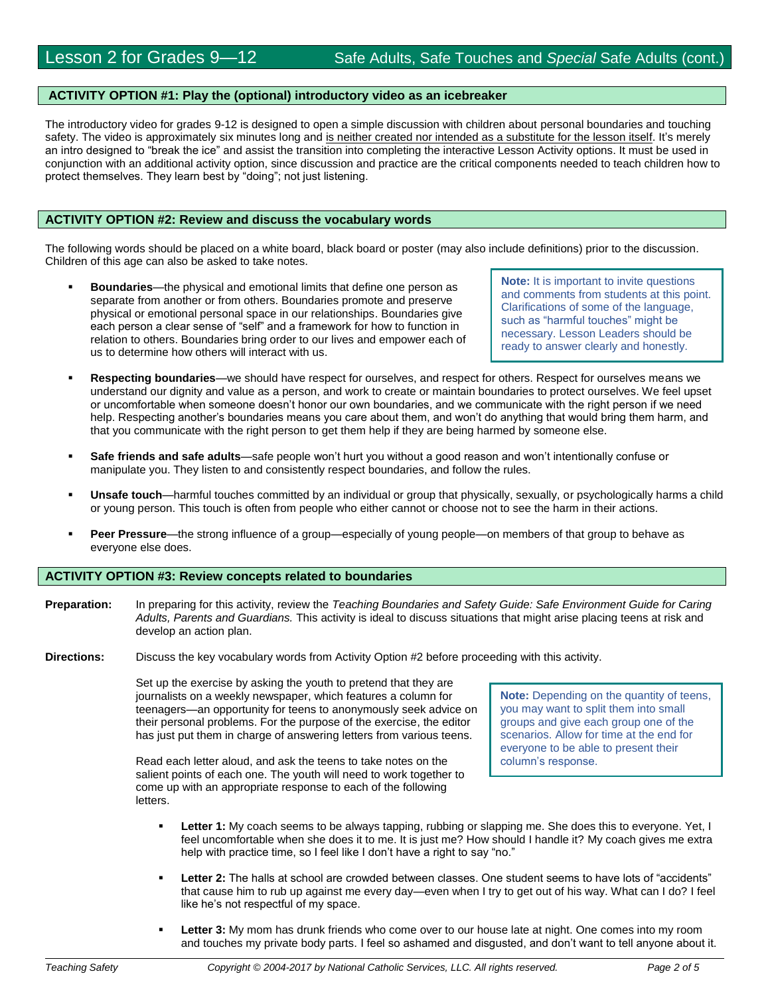#### **ACTIVITY OPTION #1: Play the (optional) introductory video as an icebreaker**

The introductory video for grades 9-12 is designed to open a simple discussion with children about personal boundaries and touching safety. The video is approximately six minutes long and is neither created nor intended as a substitute for the lesson itself. It's merely an intro designed to "break the ice" and assist the transition into completing the interactive Lesson Activity options. It must be used in conjunction with an additional activity option, since discussion and practice are the critical components needed to teach children how to protect themselves. They learn best by "doing"; not just listening.

#### **ACTIVITY OPTION #2: Review and discuss the vocabulary words**

The following words should be placed on a white board, black board or poster (may also include definitions) prior to the discussion. Children of this age can also be asked to take notes.

 **Boundaries**—the physical and emotional limits that define one person as separate from another or from others. Boundaries promote and preserve physical or emotional personal space in our relationships. Boundaries give each person a clear sense of "self" and a framework for how to function in relation to others. Boundaries bring order to our lives and empower each of us to determine how others will interact with us.

**Note:** It is important to invite questions and comments from students at this point. Clarifications of some of the language, such as "harmful touches" might be necessary. Lesson Leaders should be ready to answer clearly and honestly.

- **Respecting boundaries**—we should have respect for ourselves, and respect for others. Respect for ourselves means we understand our dignity and value as a person, and work to create or maintain boundaries to protect ourselves. We feel upset or uncomfortable when someone doesn't honor our own boundaries, and we communicate with the right person if we need help. Respecting another's boundaries means you care about them, and won't do anything that would bring them harm, and that you communicate with the right person to get them help if they are being harmed by someone else.
- **Safe friends and safe adults**—safe people won't hurt you without a good reason and won't intentionally confuse or manipulate you. They listen to and consistently respect boundaries, and follow the rules.
- **Unsafe touch**—harmful touches committed by an individual or group that physically, sexually, or psychologically harms a child or young person. This touch is often from people who either cannot or choose not to see the harm in their actions.
- **Peer Pressure**—the strong influence of a group—especially of young people—on members of that group to behave as everyone else does.

#### **ACTIVITY OPTION #3: Review concepts related to boundaries**

**Preparation:** In preparing for this activity, review the *Teaching Boundaries and Safety Guide: Safe Environment Guide for Caring Adults, Parents and Guardians.* This activity is ideal to discuss situations that might arise placing teens at risk and develop an action plan.

**Directions:** Discuss the key vocabulary words from Activity Option #2 before proceeding with this activity.

Set up the exercise by asking the youth to pretend that they are journalists on a weekly newspaper, which features a column for teenagers—an opportunity for teens to anonymously seek advice on their personal problems. For the purpose of the exercise, the editor has just put them in charge of answering letters from various teens.

Read each letter aloud, and ask the teens to take notes on the salient points of each one. The youth will need to work together to come up with an appropriate response to each of the following letters.

**Note:** Depending on the quantity of teens, you may want to split them into small groups and give each group one of the scenarios. Allow for time at the end for everyone to be able to present their column's response.

- **Letter 1:** My coach seems to be always tapping, rubbing or slapping me. She does this to everyone. Yet, I feel uncomfortable when she does it to me. It is just me? How should I handle it? My coach gives me extra help with practice time, so I feel like I don't have a right to say "no."
- Letter 2: The halls at school are crowded between classes. One student seems to have lots of "accidents" that cause him to rub up against me every day—even when I try to get out of his way. What can I do? I feel like he's not respectful of my space.
- **Letter 3:** My mom has drunk friends who come over to our house late at night. One comes into my room and touches my private body parts. I feel so ashamed and disgusted, and don't want to tell anyone about it.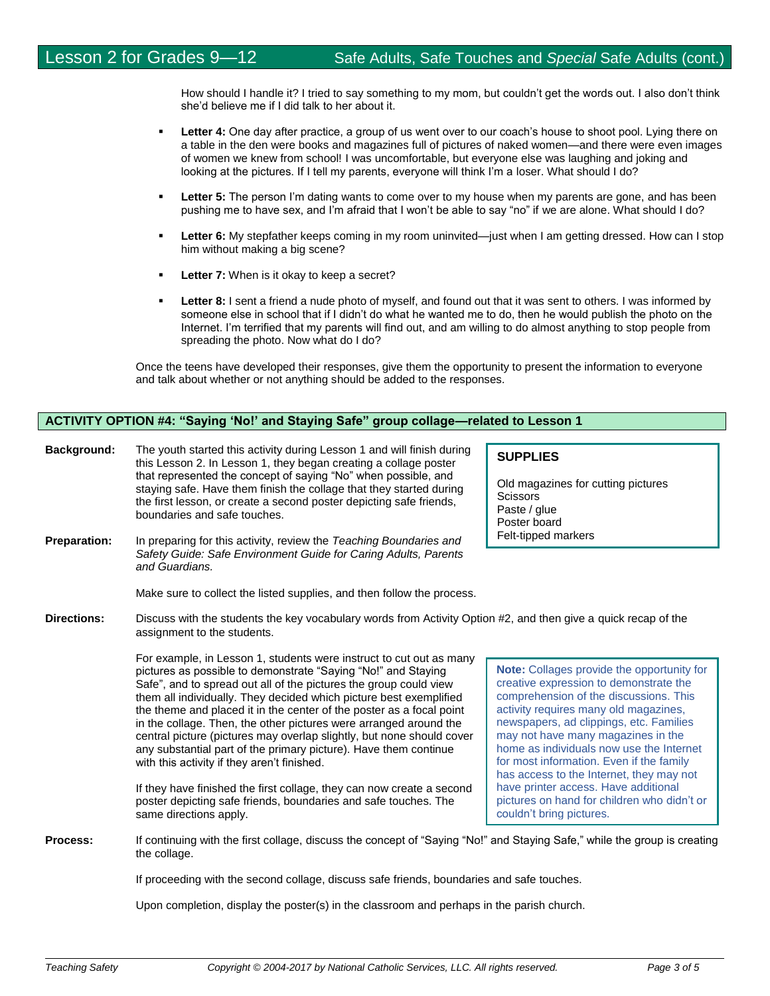How should I handle it? I tried to say something to my mom, but couldn't get the words out. I also don't think she'd believe me if I did talk to her about it.

- **Letter 4:** One day after practice, a group of us went over to our coach's house to shoot pool. Lying there on a table in the den were books and magazines full of pictures of naked women—and there were even images of women we knew from school! I was uncomfortable, but everyone else was laughing and joking and looking at the pictures. If I tell my parents, everyone will think I'm a loser. What should I do?
- **Letter 5:** The person I'm dating wants to come over to my house when my parents are gone, and has been pushing me to have sex, and I'm afraid that I won't be able to say "no" if we are alone. What should I do?
- Letter 6: My stepfather keeps coming in my room uninvited—just when I am getting dressed. How can I stop him without making a big scene?
- **Letter 7:** When is it okay to keep a secret?
- **Letter 8:** I sent a friend a nude photo of myself, and found out that it was sent to others. I was informed by someone else in school that if I didn't do what he wanted me to do, then he would publish the photo on the Internet. I'm terrified that my parents will find out, and am willing to do almost anything to stop people from spreading the photo. Now what do I do?

Once the teens have developed their responses, give them the opportunity to present the information to everyone and talk about whether or not anything should be added to the responses.

## **ACTIVITY OPTION #4: "Saying 'No!' and Staying Safe" group collage—related to Lesson 1**

| <b>Background:</b> | The youth started this activity during Lesson 1 and will finish during<br>this Lesson 2. In Lesson 1, they began creating a collage poster                                                                                                   | <b>SUPPLIES</b>                                         |
|--------------------|----------------------------------------------------------------------------------------------------------------------------------------------------------------------------------------------------------------------------------------------|---------------------------------------------------------|
|                    | that represented the concept of saying "No" when possible, and<br>staying safe. Have them finish the collage that they started during<br>the first lesson, or create a second poster depicting safe friends,<br>boundaries and safe touches. | Old magazin<br>Scissors<br>Paste / glue<br>Poster hoard |

**Preparation:** In preparing for this activity, review the *Teaching Boundaries and Safety Guide: Safe Environment Guide for Caring Adults, Parents and Guardians.* 

Make sure to collect the listed supplies, and then follow the process.

**Directions:** Discuss with the students the key vocabulary words from Activity Option #2, and then give a quick recap of the assignment to the students.

> For example, in Lesson 1, students were instruct to cut out as many pictures as possible to demonstrate "Saying "No!" and Staying Safe", and to spread out all of the pictures the group could view them all individually. They decided which picture best exemplified the theme and placed it in the center of the poster as a focal point in the collage. Then, the other pictures were arranged around the central picture (pictures may overlap slightly, but none should cover any substantial part of the primary picture). Have them continue with this activity if they aren't finished.

> If they have finished the first collage, they can now create a second poster depicting safe friends, boundaries and safe touches. The same directions apply.

**Note:** Collages provide the opportunity for creative expression to demonstrate the comprehension of the discussions. This activity requires many old magazines, newspapers, ad clippings, etc. Families may not have many magazines in the home as individuals now use the Internet for most information. Even if the family has access to the Internet, they may not have printer access. Have additional pictures on hand for children who didn't or couldn't bring pictures.

**Process:** If continuing with the first collage, discuss the concept of "Saying "No!" and Staying Safe," while the group is creating the collage.

If proceeding with the second collage, discuss safe friends, boundaries and safe touches.

Upon completion, display the poster(s) in the classroom and perhaps in the parish church.

magazines for cutting pictures ssors ste / glue Poster board Felt-tipped markers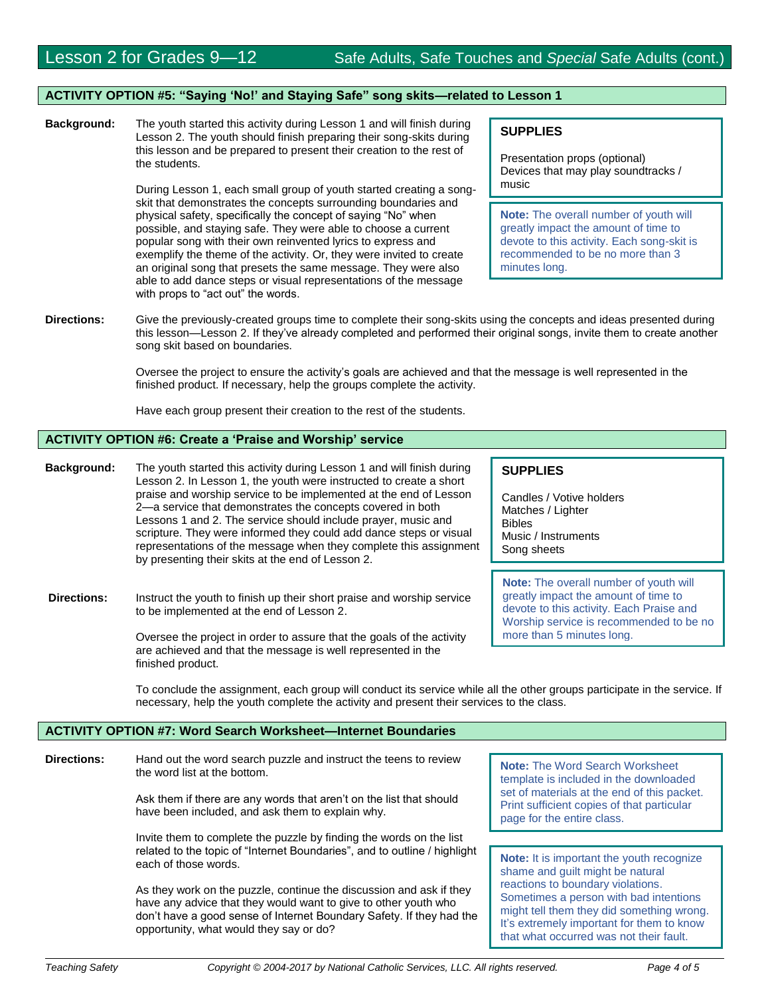### **ACTIVITY OPTION #5: "Saying 'No!' and Staying Safe" song skits—related to Lesson 1**

**Background:** The youth started this activity during Lesson 1 and will finish during Lesson 2. The youth should finish preparing their song-skits during this lesson and be prepared to present their creation to the rest of the students.

> During Lesson 1, each small group of youth started creating a songskit that demonstrates the concepts surrounding boundaries and physical safety, specifically the concept of saying "No" when possible, and staying safe. They were able to choose a current popular song with their own reinvented lyrics to express and exemplify the theme of the activity. Or, they were invited to create an original song that presets the same message. They were also able to add dance steps or visual representations of the message with props to "act out" the words.

## **SUPPLIES**

Presentation props (optional) Devices that may play soundtracks / music

**Note:** The overall number of youth will greatly impact the amount of time to devote to this activity. Each song-skit is recommended to be no more than 3 minutes long.

**Directions:** Give the previously-created groups time to complete their song-skits using the concepts and ideas presented during this lesson—Lesson 2. If they've already completed and performed their original songs, invite them to create another song skit based on boundaries.

> Oversee the project to ensure the activity's goals are achieved and that the message is well represented in the finished product. If necessary, help the groups complete the activity.

Have each group present their creation to the rest of the students.

### **ACTIVITY OPTION #6: Create a 'Praise and Worship' service**

**Background:** The youth started this activity during Lesson 1 and will finish during Lesson 2. In Lesson 1, the youth were instructed to create a short praise and worship service to be implemented at the end of Lesson 2—a service that demonstrates the concepts covered in both Lessons 1 and 2. The service should include prayer, music and scripture. They were informed they could add dance steps or visual representations of the message when they complete this assignment by presenting their skits at the end of Lesson 2.

**Directions:** Instruct the youth to finish up their short praise and worship service to be implemented at the end of Lesson 2.

> Oversee the project in order to assure that the goals of the activity are achieved and that the message is well represented in the finished product.

## **SUPPLIES**

Candles / Votive holders Matches / Lighter Bibles Music / Instruments Song sheets

**Note:** The overall number of youth will greatly impact the amount of time to devote to this activity. Each Praise and Worship service is recommended to be no more than 5 minutes long.

To conclude the assignment, each group will conduct its service while all the other groups participate in the service. If necessary, help the youth complete the activity and present their services to the class.

### **ACTIVITY OPTION #7: Word Search Worksheet—Internet Boundaries**

**Directions:** Hand out the word search puzzle and instruct the teens to review the word list at the bottom.

> Ask them if there are any words that aren't on the list that should have been included, and ask them to explain why.

Invite them to complete the puzzle by finding the words on the list related to the topic of "Internet Boundaries", and to outline / highlight each of those words.

As they work on the puzzle, continue the discussion and ask if they have any advice that they would want to give to other youth who don't have a good sense of Internet Boundary Safety. If they had the opportunity, what would they say or do?

**Note:** The Word Search Worksheet template is included in the downloaded set of materials at the end of this packet. Print sufficient copies of that particular page for the entire class.

**Note:** It is important the youth recognize shame and guilt might be natural reactions to boundary violations. Sometimes a person with bad intentions might tell them they did something wrong. It's extremely important for them to know that what occurred was not their fault.